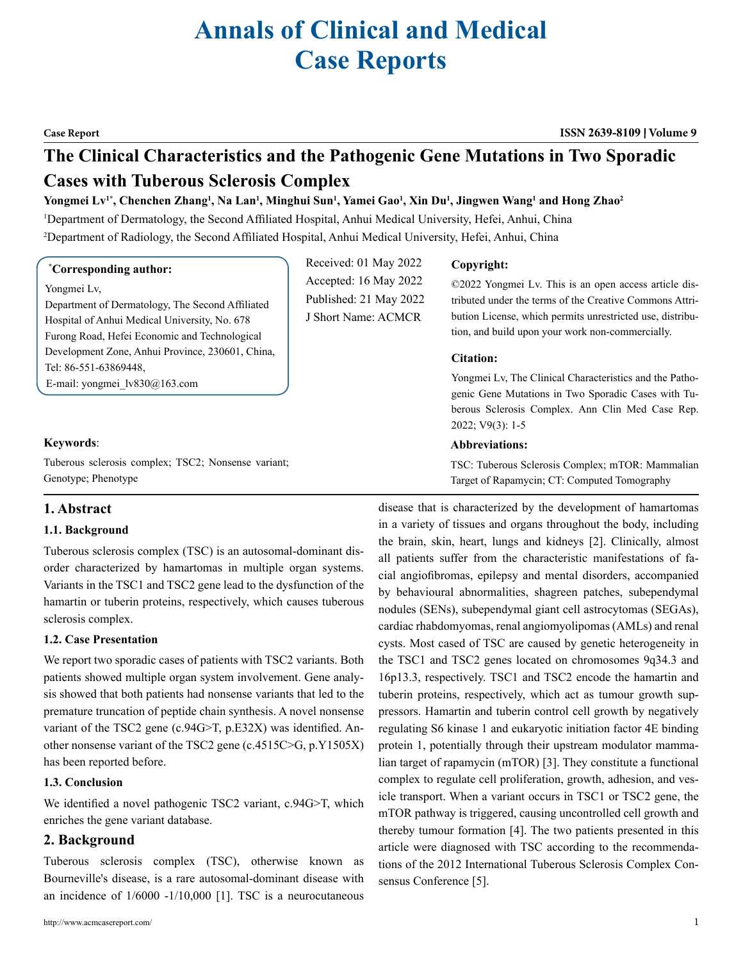# **Annals of Clinical and Medical Case Reports**

#### **Case Report ISSN 2639-8109 Volume 9**

# **The Clinical Characteristics and the Pathogenic Gene Mutations in Two Sporadic Cases with Tuberous Sclerosis Complex**

# $Y$ ongmei Lv<sup>1\*</sup>, Chenchen Zhang<sup>1</sup>, Na Lan<sup>1</sup>, Minghui Sun<sup>1</sup>, Yamei Gao<sup>1</sup>, Xin Du<sup>1</sup>, Jingwen Wang<sup>1</sup> and Hong Zhao<sup>2</sup>

1 Department of Dermatology, the Second Affiliated Hospital, Anhui Medical University, Hefei, Anhui, China 2 Department of Radiology, the Second Affiliated Hospital, Anhui Medical University, Hefei, Anhui, China

### **\* Corresponding author:**

# Yongmei Lv,

Department of Dermatology, The Second Affiliated Hospital of Anhui Medical University, No. 678 Furong Road, Hefei Economic and Technological Development Zone, Anhui Province, 230601, China, Tel: 86-551-63869448, E-mail: [yongmei\\_lv830@163.com](mailto:yongmei_lv830@163.com)

# **Keywords**:

Tuberous sclerosis complex; TSC2; Nonsense variant; Genotype; Phenotype

# **1. Abstract**

# **1.1. Background**

Tuberous sclerosis complex (TSC) is an autosomal-dominant disorder characterized by hamartomas in multiple organ systems. Variants in the TSC1 and TSC2 gene lead to the dysfunction of the hamartin or tuberin proteins, respectively, which causes tuberous sclerosis complex.

# **1.2. Case Presentation**

We report two sporadic cases of patients with TSC2 variants. Both patients showed multiple organ system involvement. Gene analysis showed that both patients had nonsense variants that led to the premature truncation of peptide chain synthesis. A novel nonsense variant of the TSC2 gene (c.94G>T, p.E32X) was identified. Another nonsense variant of the TSC2 gene (c.4515C>G, p.Y1505X) has been reported before.

# **1.3. Conclusion**

We identified a novel pathogenic TSC2 variant, c.94G>T, which enriches the gene variant database.

# **2. Background**

Tuberous sclerosis complex (TSC), otherwise known as Bourneville's disease, is a rare autosomal-dominant disease with an incidence of 1/6000 -1/10,000 [1]. TSC is a neurocutaneous

Received: 01 May 2022 Accepted: 16 May 2022 Published: 21 May 2022 J Short Name: ACMCR

# **Copyright:**

©2022 Yongmei Lv. This is an open access article distributed under the terms of the Creative Commons Attribution License, which permits unrestricted use, distribution, and build upon your work non-commercially.

# **Citation:**

Yongmei Lv, The Clinical Characteristics and the Pathogenic Gene Mutations in Two Sporadic Cases with Tuberous Sclerosis Complex. Ann Clin Med Case Rep. 2022; V9(3): 1-5

# **Abbreviations:**

TSC: Tuberous Sclerosis Complex; mTOR: Mammalian Target of Rapamycin; CT: Computed Tomography

disease that is characterized by the development of hamartomas in a variety of tissues and organs throughout the body, including the brain, skin, heart, lungs and kidneys [2]. Clinically, almost all patients suffer from the characteristic manifestations of facial angiofibromas, epilepsy and mental disorders, accompanied by behavioural abnormalities, shagreen patches, subependymal nodules (SENs), subependymal giant cell astrocytomas (SEGAs), cardiac rhabdomyomas, renal angiomyolipomas (AMLs) and renal cysts. Most cased of TSC are caused by genetic heterogeneity in the TSC1 and TSC2 genes located on chromosomes 9q34.3 and 16p13.3, respectively. TSC1 and TSC2 encode the hamartin and tuberin proteins, respectively, which act as tumour growth suppressors. Hamartin and tuberin control cell growth by negatively regulating S6 kinase 1 and eukaryotic initiation factor 4E binding protein 1, potentially through their upstream modulator mammalian target of rapamycin (mTOR) [3]. They constitute a functional complex to regulate cell proliferation, growth, adhesion, and vesicle transport. When a variant occurs in TSC1 or TSC2 gene, the mTOR pathway is triggered, causing uncontrolled cell growth and thereby tumour formation [4]. The two patients presented in this article were diagnosed with TSC according to the recommendations of the 2012 International Tuberous Sclerosis Complex Consensus Conference [5].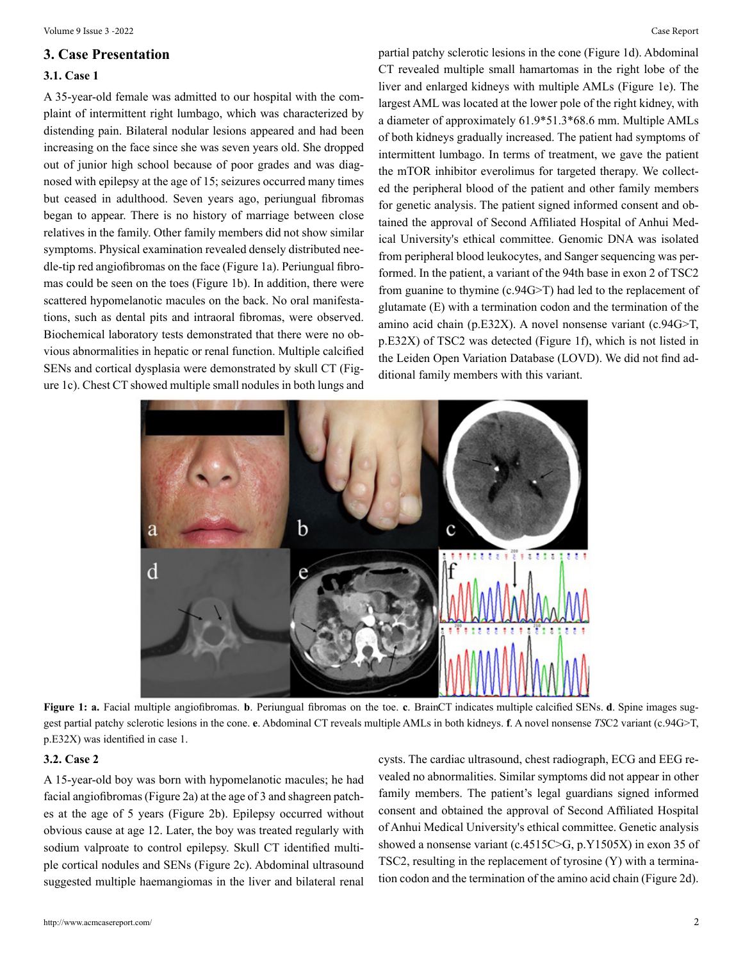# **3. Case Presentation**

### **3.1. Case 1**

A 35-year-old female was admitted to our hospital with the complaint of intermittent right lumbago, which was characterized by distending pain. Bilateral nodular lesions appeared and had been increasing on the face since she was seven years old. She dropped out of junior high school because of poor grades and was diagnosed with epilepsy at the age of 15; seizures occurred many times but ceased in adulthood. Seven years ago, periungual fibromas began to appear. There is no history of marriage between close relatives in the family. Other family members did not show similar symptoms. Physical examination revealed densely distributed needle-tip red angiofibromas on the face (Figure 1a). Periungual fibromas could be seen on the toes (Figure 1b). In addition, there were scattered hypomelanotic macules on the back. No oral manifestations, such as dental pits and intraoral fibromas, were observed. Biochemical laboratory tests demonstrated that there were no obvious abnormalities in hepatic or renal function. Multiple calcified SENs and cortical dysplasia were demonstrated by skull CT (Figure 1c). Chest CT showed multiple small nodules in both lungs and

partial patchy sclerotic lesions in the cone (Figure 1d). Abdominal CT revealed multiple small hamartomas in the right lobe of the liver and enlarged kidneys with multiple AMLs (Figure 1e). The largest AML was located at the lower pole of the right kidney, with a diameter of approximately 61.9\*51.3\*68.6 mm. Multiple AMLs of both kidneys gradually increased. The patient had symptoms of intermittent lumbago. In terms of treatment, we gave the patient the mTOR inhibitor everolimus for targeted therapy. We collected the peripheral blood of the patient and other family members for genetic analysis. The patient signed informed consent and obtained the approval of Second Affiliated Hospital of Anhui Medical University's ethical committee. Genomic DNA was isolated from peripheral blood leukocytes, and Sanger sequencing was performed. In the patient, a variant of the 94th base in exon 2 of TSC2 from guanine to thymine (c.94G>T) had led to the replacement of glutamate (E) with a termination codon and the termination of the amino acid chain (p.E32X). A novel nonsense variant (c.94G>T, p.E32X) of TSC2 was detected (Figure 1f), which is not listed in the Leiden Open Variation Database (LOVD). We did not find additional family members with this variant.



Figure 1: a. Facial multiple angiofibromas. **b**. Periungual fibromas on the toe. **c**. BrainCT indicates multiple calcified SENs. **d**. Spine images suggest partial patchy sclerotic lesions in the cone. **e**. Abdominal CT reveals multiple AMLs in both kidneys. **f**. A novel nonsense *TS*C2 variant (c.94G>T, p.E32X) was identified in case 1.

# **3.2. Case 2**

A 15-year-old boy was born with hypomelanotic macules; he had facial angiofibromas (Figure 2a) at the age of 3 and shagreen patches at the age of 5 years (Figure 2b). Epilepsy occurred without obvious cause at age 12. Later, the boy was treated regularly with sodium valproate to control epilepsy. Skull CT identified multiple cortical nodules and SENs (Figure 2c). Abdominal ultrasound suggested multiple haemangiomas in the liver and bilateral renal

cysts. The cardiac ultrasound, chest radiograph, ECG and EEG revealed no abnormalities. Similar symptoms did not appear in other family members. The patient's legal guardians signed informed consent and obtained the approval of Second Affiliated Hospital of Anhui Medical University's ethical committee. Genetic analysis showed a nonsense variant (c.4515C>G, p.Y1505X) in exon 35 of TSC2, resulting in the replacement of tyrosine (Y) with a termination codon and the termination of the amino acid chain (Figure 2d).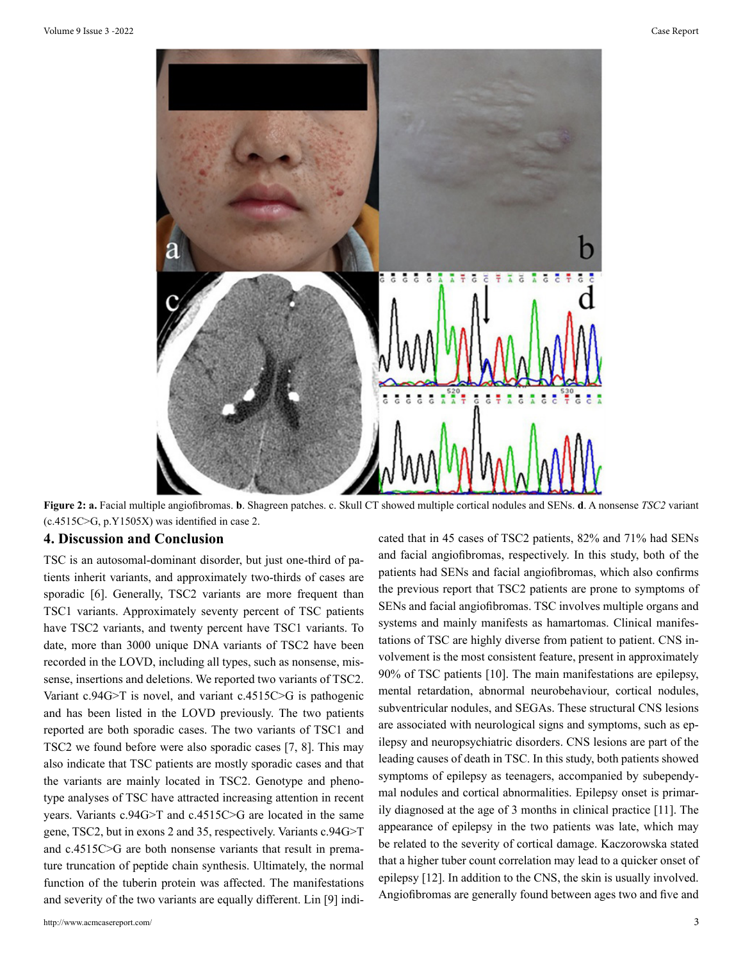

**Figure 2: a.** Facial multiple angiofibromas. **b**. Shagreen patches. c. Skull CT showed multiple cortical nodules and SENs. **d**. A nonsense *TSC2* variant (c.4515C>G, p.Y1505X) was identified in case 2.

# **4. Discussion and Conclusion**

TSC is an autosomal-dominant disorder, but just one-third of patients inherit variants, and approximately two-thirds of cases are sporadic [6]. Generally, TSC2 variants are more frequent than TSC1 variants. Approximately seventy percent of TSC patients have TSC2 variants, and twenty percent have TSC1 variants. To date, more than 3000 unique DNA variants of TSC2 have been recorded in the LOVD, including all types, such as nonsense, missense, insertions and deletions. We reported two variants of TSC2. Variant c.94G>T is novel, and variant c.4515C>G is pathogenic and has been listed in the LOVD previously. The two patients reported are both sporadic cases. The two variants of TSC1 and TSC2 we found before were also sporadic cases [7, 8]. This may also indicate that TSC patients are mostly sporadic cases and that the variants are mainly located in TSC2. Genotype and phenotype analyses of TSC have attracted increasing attention in recent years. Variants c.94G>T and c.4515C>G are located in the same gene, TSC2, but in exons 2 and 35, respectively. Variants c.94G>T and c.4515C>G are both nonsense variants that result in premature truncation of peptide chain synthesis. Ultimately, the normal function of the tuberin protein was affected. The manifestations and severity of the two variants are equally different. Lin [9] indicated that in 45 cases of TSC2 patients, 82% and 71% had SENs and facial angiofibromas, respectively. In this study, both of the patients had SENs and facial angiofibromas, which also confirms the previous report that TSC2 patients are prone to symptoms of SENs and facial angiofibromas. TSC involves multiple organs and systems and mainly manifests as hamartomas. Clinical manifestations of TSC are highly diverse from patient to patient. CNS involvement is the most consistent feature, present in approximately 90% of TSC patients [10]. The main manifestations are epilepsy, mental retardation, abnormal neurobehaviour, cortical nodules, subventricular nodules, and SEGAs. These structural CNS lesions are associated with neurological signs and symptoms, such as epilepsy and neuropsychiatric disorders. CNS lesions are part of the leading causes of death in TSC. In this study, both patients showed symptoms of epilepsy as teenagers, accompanied by subependymal nodules and cortical abnormalities. Epilepsy onset is primarily diagnosed at the age of 3 months in clinical practice [11]. The appearance of epilepsy in the two patients was late, which may be related to the severity of cortical damage. Kaczorowska stated that a higher tuber count correlation may lead to a quicker onset of epilepsy [12]. In addition to the CNS, the skin is usually involved. Angiofibromas are generally found between ages two and five and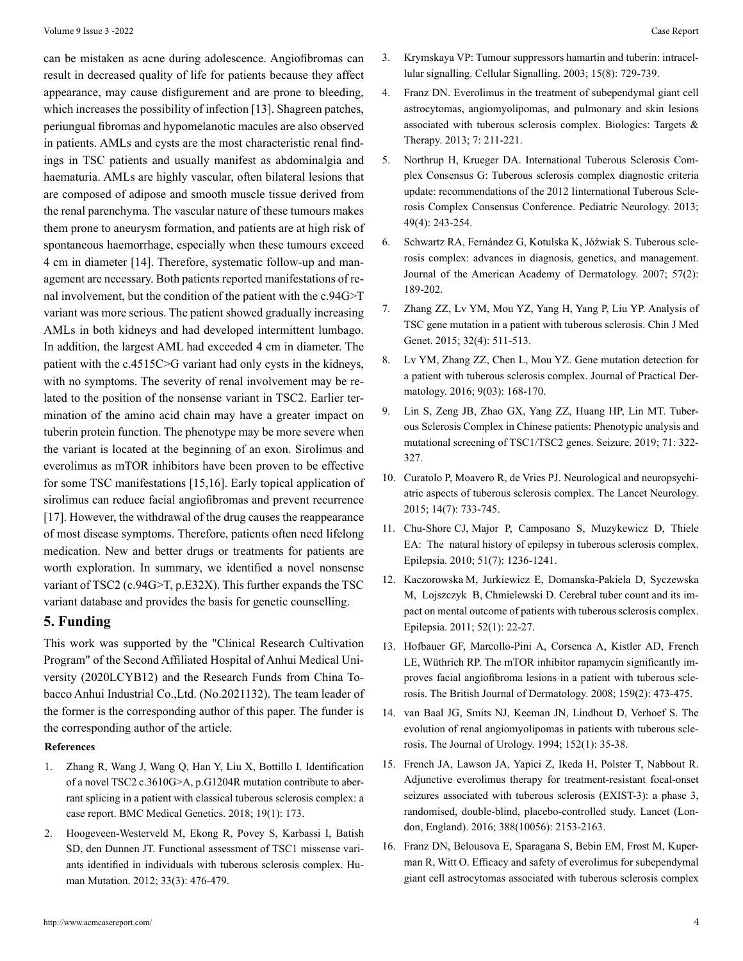can be mistaken as acne during adolescence. Angiofibromas can result in decreased quality of life for patients because they affect appearance, may cause disfigurement and are prone to bleeding, which increases the possibility of infection [13]. Shagreen patches, periungual fibromas and hypomelanotic macules are also observed in patients. AMLs and cysts are the most characteristic renal findings in TSC patients and usually manifest as abdominalgia and haematuria. AMLs are highly vascular, often bilateral lesions that are composed of adipose and smooth muscle tissue derived from the renal parenchyma. The vascular nature of these tumours makes them prone to aneurysm formation, and patients are at high risk of spontaneous haemorrhage, especially when these tumours exceed 4 cm in diameter [14]. Therefore, systematic follow-up and management are necessary. Both patients reported manifestations of renal involvement, but the condition of the patient with the c.94G>T variant was more serious. The patient showed gradually increasing AMLs in both kidneys and had developed intermittent lumbago. In addition, the largest AML had exceeded 4 cm in diameter. The patient with the c.4515C>G variant had only cysts in the kidneys, with no symptoms. The severity of renal involvement may be related to the position of the nonsense variant in TSC2. Earlier termination of the amino acid chain may have a greater impact on tuberin protein function. The phenotype may be more severe when the variant is located at the beginning of an exon. Sirolimus and everolimus as mTOR inhibitors have been proven to be effective for some TSC manifestations [15,16]. Early topical application of sirolimus can reduce facial angiofibromas and prevent recurrence [17]. However, the withdrawal of the drug causes the reappearance of most disease symptoms. Therefore, patients often need lifelong medication. New and better drugs or treatments for patients are worth exploration. In summary, we identified a novel nonsense variant of TSC2 (c.94G>T, p.E32X). This further expands the TSC variant database and provides the basis for genetic counselling.

# **5. Funding**

This work was supported by the "Clinical Research Cultivation Program" of the Second Affiliated Hospital of Anhui Medical University (2020LCYB12) and the Research Funds from China Tobacco Anhui Industrial Co.,Ltd. (No.2021132). The team leader of the former is the corresponding author of this paper. The funder is the corresponding author of the article.

# **References**

- 1. [Zhang R, Wang J, Wang Q, Han Y, Liu X, Bottillo I. Identification](https://www.ncbi.nlm.nih.gov/pmc/articles/PMC6149227/) [of a novel TSC2 c.3610G>A, p.G1204R mutation contribute to aber](https://www.ncbi.nlm.nih.gov/pmc/articles/PMC6149227/)[rant splicing in a patient with classical tuberous sclerosis complex: a](https://www.ncbi.nlm.nih.gov/pmc/articles/PMC6149227/) [case report. BMC Medical Genetics. 2018; 19\(1\): 173.](https://www.ncbi.nlm.nih.gov/pmc/articles/PMC6149227/)
- 2. [Hoogeveen-Westerveld M, Ekong R, Povey S, Karbassi I, Batish](https://pubmed.ncbi.nlm.nih.gov/22161988/) [SD, den Dunnen JT. Functional assessment of TSC1 missense vari](https://pubmed.ncbi.nlm.nih.gov/22161988/)[ants identified in individuals with tuberous sclerosis complex. Hu](https://pubmed.ncbi.nlm.nih.gov/22161988/)[man Mutation. 2012; 33\(3\): 476-479.](https://pubmed.ncbi.nlm.nih.gov/22161988/)
- 3. [Krymskaya VP: Tumour suppressors hamartin and tuberin: intracel](https://pubmed.ncbi.nlm.nih.gov/12781866/)[lular signalling. Cellular Signalling. 2003; 15\(8\): 729-739.](https://pubmed.ncbi.nlm.nih.gov/12781866/)
- 4. [Franz DN. Everolimus in the treatment of subependymal giant cell](https://www.ncbi.nlm.nih.gov/pmc/articles/PMC3797614/) [astrocytomas, angiomyolipomas, and pulmonary and skin lesions](https://www.ncbi.nlm.nih.gov/pmc/articles/PMC3797614/) [associated with tuberous sclerosis complex. Biologics: Targets &](https://www.ncbi.nlm.nih.gov/pmc/articles/PMC3797614/) [Therapy. 2013; 7: 211-221.](https://www.ncbi.nlm.nih.gov/pmc/articles/PMC3797614/)
- 5. [Northrup H, Krueger DA. International Tuberous Sclerosis Com](https://pubmed.ncbi.nlm.nih.gov/24053982/)[plex Consensus G: Tuberous sclerosis complex diagnostic criteria](https://pubmed.ncbi.nlm.nih.gov/24053982/) [update: recommendations of the 2012 Iinternational Tuberous Scle](https://pubmed.ncbi.nlm.nih.gov/24053982/)[rosis Complex Consensus Conference. Pediatric Neurology. 2013;](https://pubmed.ncbi.nlm.nih.gov/24053982/) [49\(4\): 243-254.](https://pubmed.ncbi.nlm.nih.gov/24053982/)
- 6. [Schwartz RA, Fernández G, Kotulska K, Jóźwiak S. Tuberous scle](https://pubmed.ncbi.nlm.nih.gov/17637444/)[rosis complex: advances in diagnosis, genetics, and management.](https://pubmed.ncbi.nlm.nih.gov/17637444/) [Journal of the American Academy of Dermatology. 2007; 57\(2\):](https://pubmed.ncbi.nlm.nih.gov/17637444/) [189-202.](https://pubmed.ncbi.nlm.nih.gov/17637444/)
- 7. [Zhang ZZ, Lv YM, Mou YZ, Yang H, Yang P, Liu YP. Analysis of](https://pubmed.ncbi.nlm.nih.gov/14756965/)  [TSC gene mutation in a patient with tuberous sclerosis. Chin J Med](https://pubmed.ncbi.nlm.nih.gov/14756965/) [Genet. 2015; 32\(4\): 511-513.](https://pubmed.ncbi.nlm.nih.gov/14756965/)
- 8. [Lv YM, Zhang ZZ, Chen L, Mou YZ. Gene mutation detection for](https://www.ncbi.nlm.nih.gov/books/NBK482470/)  [a patient with tuberous sclerosis complex. Journal of Practical Der](https://www.ncbi.nlm.nih.gov/books/NBK482470/)[matology. 2016; 9\(03\): 168-170.](https://www.ncbi.nlm.nih.gov/books/NBK482470/)
- 9. [Lin S, Zeng JB, Zhao GX, Yang ZZ, Huang HP, Lin MT. Tuber](https://pubmed.ncbi.nlm.nih.gov/31525612/)[ous Sclerosis Complex in Chinese patients: Phenotypic analysis and](https://pubmed.ncbi.nlm.nih.gov/31525612/) [mutational screening of TSC1/TSC2 genes. Seizure. 2019; 71: 322-](https://pubmed.ncbi.nlm.nih.gov/31525612/) [327.](https://pubmed.ncbi.nlm.nih.gov/31525612/)
- 10. [Curatolo P, Moavero R, de Vries PJ. Neurological and neuropsychi](https://pubmed.ncbi.nlm.nih.gov/26067126/)[atric aspects of tuberous sclerosis complex. The Lancet Neurology.](https://pubmed.ncbi.nlm.nih.gov/26067126/) [2015; 14\(7\): 733-745.](https://pubmed.ncbi.nlm.nih.gov/26067126/)
- 11. [Chu-Shore CJ, Major P, Camposano S, Muzykewicz D, Thiele](https://pubmed.ncbi.nlm.nih.gov/20041940/) [EA: The natural history of epilepsy in tuberous sclerosis complex.](https://pubmed.ncbi.nlm.nih.gov/20041940/) [Epilepsia. 2010; 51\(7\): 1236-1241.](https://pubmed.ncbi.nlm.nih.gov/20041940/)
- 12. [Kaczorowska M, Jurkiewicz E, Domanska-Pakiela D, Syczewska](https://pubmed.ncbi.nlm.nih.gov/21204819/)  [M, Lojszczyk B, Chmielewski D. Cerebral tuber count and its im](https://pubmed.ncbi.nlm.nih.gov/21204819/)[pact on mental outcome of patients with tuberous sclerosis complex.](https://pubmed.ncbi.nlm.nih.gov/21204819/) [Epilepsia. 2011; 52\(1\): 22-27.](https://pubmed.ncbi.nlm.nih.gov/21204819/)
- 13. [Hofbauer GF, Marcollo-Pini A, Corsenca A, Kistler AD, French](https://pubmed.ncbi.nlm.nih.gov/18547304/) [LE, Wüthrich RP. The mTOR inhibitor rapamycin significantly im](https://pubmed.ncbi.nlm.nih.gov/18547304/)[proves facial angiofibroma lesions in a patient with tuberous scle](https://pubmed.ncbi.nlm.nih.gov/18547304/)[rosis. The British Journal of Dermatology. 2008; 159\(2\): 473-475.](https://pubmed.ncbi.nlm.nih.gov/18547304/)
- 14. [van Baal JG, Smits NJ, Keeman JN, Lindhout D, Verhoef S. The](https://pubmed.ncbi.nlm.nih.gov/8201681/) [evolution of renal angiomyolipomas in patients with tuberous scle](https://pubmed.ncbi.nlm.nih.gov/8201681/)[rosis. The Journal of Urology. 1994; 152\(1\): 35-38.](https://pubmed.ncbi.nlm.nih.gov/8201681/)
- 15. [French JA, Lawson JA, Yapici Z, Ikeda H, Polster T, Nabbout R.](https://pubmed.ncbi.nlm.nih.gov/27613521/)  [Adjunctive everolimus therapy for treatment-resistant focal-onset](https://pubmed.ncbi.nlm.nih.gov/27613521/) [seizures associated with tuberous sclerosis \(EXIST-3\): a phase 3,](https://pubmed.ncbi.nlm.nih.gov/27613521/) [randomised, double-blind, placebo-controlled study. Lancet \(Lon](https://pubmed.ncbi.nlm.nih.gov/27613521/)[don, England\). 2016; 388\(10056\): 2153-2163.](https://pubmed.ncbi.nlm.nih.gov/27613521/)
- 16. [Franz DN, Belousova E, Sparagana S, Bebin EM, Frost M, Kuper](https://pubmed.ncbi.nlm.nih.gov/23158522/)[man R, Witt O. Efficacy and safety of everolimus for subependymal](https://pubmed.ncbi.nlm.nih.gov/23158522/) [giant cell astrocytomas associated with tuberous sclerosis complex](https://pubmed.ncbi.nlm.nih.gov/23158522/)